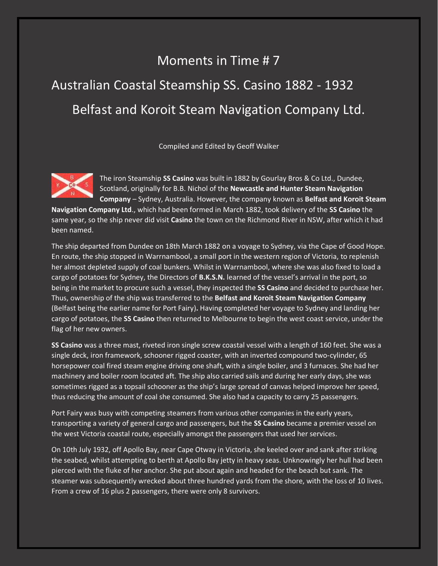## Moments in Time # 7 Australian Coastal Steamship SS. Casino 1882 - 1932 Belfast and Koroit Steam Navigation Company Ltd.

Compiled and Edited by Geoff Walker



The iron Steamship **SS Casino** was built in 1882 by Gourlay Bros & Co Ltd., Dundee, Scotland, originally for B.B. Nichol of the **Newcastle and Hunter Steam Navigation Company** – Sydney, Australia. However, the company known as **Belfast and Koroit Steam** 

**Navigation Company Ltd**., which had been formed in March 1882, took delivery of the **SS Casino** the same year, so the ship never did visit **Casino** the town on the Richmond River in NSW, after which it had been named.

The ship departed from Dundee on 18th March 1882 on a voyage to Sydney, via the Cape of Good Hope. En route, the ship stopped in Warrnambool, a small port in the western region of Victoria, to replenish her almost depleted supply of coal bunkers. Whilst in Warrnambool, where she was also fixed to load a cargo of potatoes for Sydney, the Directors of **B.K.S.N.** learned of the vessel's arrival in the port, so being in the market to procure such a vessel, they inspected the **SS Casino** and decided to purchase her. Thus, ownership of the ship was transferred to the **Belfast and Koroit Steam Navigation Company** (Belfast being the earlier name for Port Fairy)**.** Having completed her voyage to Sydney and landing her cargo of potatoes, the **SS Casino** then returned to Melbourne to begin the west coast service, under the flag of her new owners.

**SS Casino** was a three mast, riveted iron single screw coastal vessel with a length of 160 feet. She was a single deck, iron framework, schooner rigged coaster, with an inverted compound two-cylinder, 65 horsepower coal fired steam engine driving one shaft, with a single boiler, and 3 furnaces. She had her machinery and boiler room located aft. The ship also carried sails and during her early days, she was sometimes rigged as a topsail schooner as the ship's large spread of canvas helped improve her speed, thus reducing the amount of coal she consumed. She also had a capacity to carry 25 passengers.

Port Fairy was busy with competing steamers from various other companies in the early years, transporting a variety of general cargo and passengers, but the **SS Casino** became a premier vessel on the west Victoria coastal route, especially amongst the passengers that used her services.

On 10th July 1932, off Apollo Bay, near Cape Otway in Victoria, she keeled over and sank after striking the seabed, whilst attempting to berth at Apollo Bay jetty in heavy seas. Unknowingly her hull had been pierced with the fluke of her anchor. She put about again and headed for the beach but sank. The steamer was subsequently wrecked about three hundred yards from the shore, with the loss of 10 lives. From a crew of 16 plus 2 passengers, there were only 8 survivors.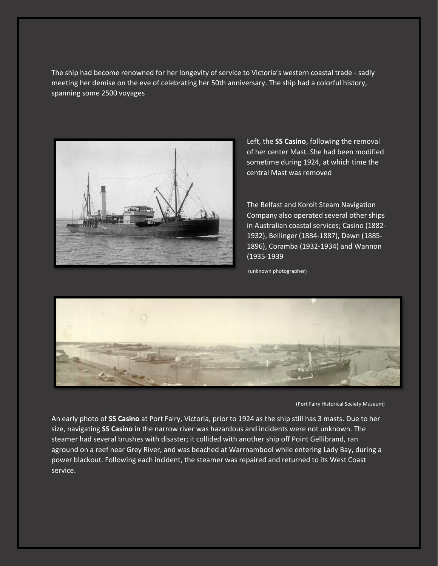The ship had become renowned for her longevity of service to Victoria's western coastal trade - sadly meeting her demise on the eve of celebrating her 50th anniversary. The ship had a colorful history, spanning some 2500 voyages



Left, the **SS Casino**, following the removal of her center Mast. She had been modified sometime during 1924, at which time the central Mast was removed

The Belfast and Koroit Steam Navigation Company also operated several other ships in Australian coastal services; Casino (1882- 1932), Bellinger (1884-1887), Dawn (1885- 1896), Coramba (1932-1934) and Wannon (1935-1939

(unknown photographer)



(Port Fairy Historical Society Museum)

An early photo of **SS Casino** at Port Fairy, Victoria, prior to 1924 as the ship still has 3 masts. Due to her size, navigating **SS Casino** in the narrow river was hazardous and incidents were not unknown. The steamer had several brushes with disaster; it collided with another ship off Point Gellibrand, ran aground on a reef near Grey River, and was beached at Warrnambool while entering Lady Bay, during a power blackout. Following each incident, the steamer was repaired and returned to its West Coast service.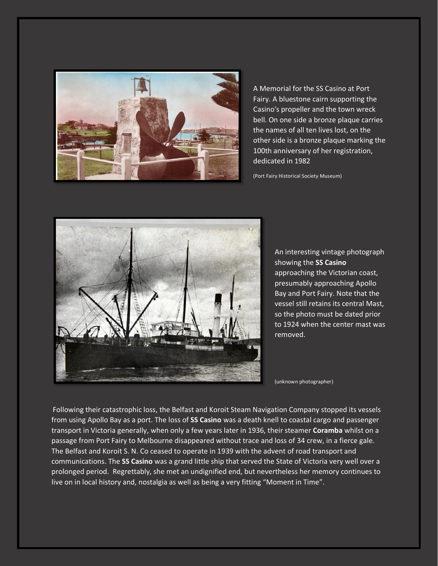

A Memorial for the SS Casino at Port Fairy. A bluestone cairn supporting the Casino's propeller and the town wreck bell. On one side a bronze plaque carries the names of all ten lives lost, on the other side is a bronze plaque marking the 100th anniversary of her registration, dedicated in 1982

(Port Fairy Historical Society Museum)



An interesting vintage photograph showing the **SS Casino** approaching the Victorian coast, presumably approaching Apollo Bay and Port Fairy. Note that the vessel still retains its central Mast, so the photo must be dated prior to 1924 when the center mast was removed.

(unknown photographer)

Following their catastrophic loss, the Belfast and Koroit Steam Navigation Company stopped its vessels from using Apollo Bay as a port. The loss of **SS Casino** was a death knell to coastal cargo and passenger transport in Victoria generally, when only a few years later in 1936, their steamer **Coramba** whilst on a passage from Port Fairy to Melbourne disappeared without trace and loss of 34 crew, in a fierce gale. The Belfast and Koroit S. N. Co ceased to operate in 1939 with the advent of road transport and communications. The **SS Casino** was a grand little ship that served the State of Victoria very well over a prolonged period. Regrettably, she met an undignified end, but nevertheless her memory continues to live on in local history and, nostalgia as well as being a very fitting "Moment in Time".